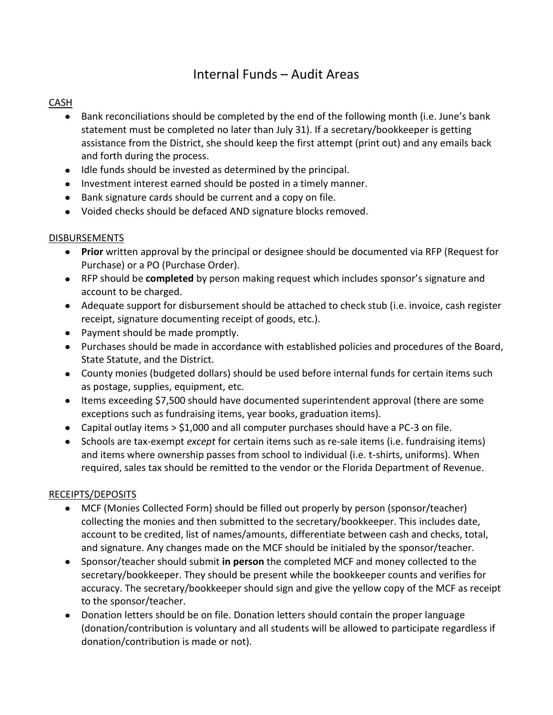# Internal Funds – Audit Areas

#### **CASH**

- Bank reconciliations should be completed by the end of the following month (i.e. June's bank statement must be completed no later than July 31). If a secretary/bookkeeper is getting assistance from the District, she should keep the first attempt (print out) and any emails back and forth during the process.
- Idle funds should be invested as determined by the principal.
- Investment interest earned should be posted in a timely manner.
- Bank signature cards should be current and a copy on file.
- Voided checks should be defaced AND signature blocks removed.

### DISBURSEMENTS

- **Prior** written approval by the principal or designee should be documented via RFP (Request for Purchase) or a PO (Purchase Order).
- RFP should be **completed** by person making request which includes sponsor's signature and account to be charged.
- Adequate support for disbursement should be attached to check stub (i.e. invoice, cash register receipt, signature documenting receipt of goods, etc.).
- Payment should be made promptly.
- Purchases should be made in accordance with established policies and procedures of the Board, State Statute, and the District.
- County monies (budgeted dollars) should be used before internal funds for certain items such as postage, supplies, equipment, etc.
- Items exceeding \$7,500 should have documented superintendent approval (there are some exceptions such as fundraising items, year books, graduation items).
- Capital outlay items > \$1,000 and all computer purchases should have a PC-3 on file.
- Schools are tax-exempt *except* for certain items such as re-sale items (i.e. fundraising items) and items where ownership passes from school to individual (i.e. t-shirts, uniforms). When required, sales tax should be remitted to the vendor or the Florida Department of Revenue.

### RECEIPTS/DEPOSITS

- MCF (Monies Collected Form) should be filled out properly by person (sponsor/teacher) collecting the monies and then submitted to the secretary/bookkeeper. This includes date, account to be credited, list of names/amounts, differentiate between cash and checks, total, and signature. Any changes made on the MCF should be initialed by the sponsor/teacher.
- Sponsor/teacher should submit **in person** the completed MCF and money collected to the secretary/bookkeeper. They should be present while the bookkeeper counts and verifies for accuracy. The secretary/bookkeeper should sign and give the yellow copy of the MCF as receipt to the sponsor/teacher.
- Donation letters should be on file. Donation letters should contain the proper language (donation/contribution is voluntary and all students will be allowed to participate regardless if donation/contribution is made or not).